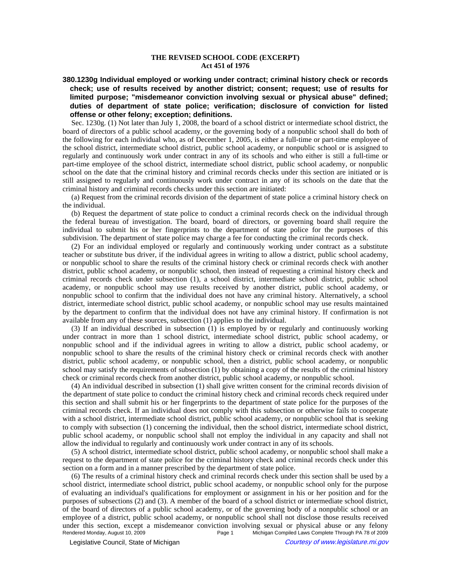## **THE REVISED SCHOOL CODE (EXCERPT) Act 451 of 1976**

**380.1230g Individual employed or working under contract; criminal history check or records check; use of results received by another district; consent; request; use of results for limited purpose; "misdemeanor conviction involving sexual or physical abuse" defined; duties of department of state police; verification; disclosure of conviction for listed offense or other felony; exception; definitions.**

Sec. 1230g. (1) Not later than July 1, 2008, the board of a school district or intermediate school district, the board of directors of a public school academy, or the governing body of a nonpublic school shall do both of the following for each individual who, as of December 1, 2005, is either a full-time or part-time employee of the school district, intermediate school district, public school academy, or nonpublic school or is assigned to regularly and continuously work under contract in any of its schools and who either is still a full-time or part-time employee of the school district, intermediate school district, public school academy, or nonpublic school on the date that the criminal history and criminal records checks under this section are initiated or is still assigned to regularly and continuously work under contract in any of its schools on the date that the criminal history and criminal records checks under this section are initiated:

(a) Request from the criminal records division of the department of state police a criminal history check on the individual.

(b) Request the department of state police to conduct a criminal records check on the individual through the federal bureau of investigation. The board, board of directors, or governing board shall require the individual to submit his or her fingerprints to the department of state police for the purposes of this subdivision. The department of state police may charge a fee for conducting the criminal records check.

(2) For an individual employed or regularly and continuously working under contract as a substitute teacher or substitute bus driver, if the individual agrees in writing to allow a district, public school academy, or nonpublic school to share the results of the criminal history check or criminal records check with another district, public school academy, or nonpublic school, then instead of requesting a criminal history check and criminal records check under subsection (1), a school district, intermediate school district, public school academy, or nonpublic school may use results received by another district, public school academy, or nonpublic school to confirm that the individual does not have any criminal history. Alternatively, a school district, intermediate school district, public school academy, or nonpublic school may use results maintained by the department to confirm that the individual does not have any criminal history. If confirmation is not available from any of these sources, subsection (1) applies to the individual.

(3) If an individual described in subsection (1) is employed by or regularly and continuously working under contract in more than 1 school district, intermediate school district, public school academy, or nonpublic school and if the individual agrees in writing to allow a district, public school academy, or nonpublic school to share the results of the criminal history check or criminal records check with another district, public school academy, or nonpublic school, then a district, public school academy, or nonpublic school may satisfy the requirements of subsection (1) by obtaining a copy of the results of the criminal history check or criminal records check from another district, public school academy, or nonpublic school.

(4) An individual described in subsection (1) shall give written consent for the criminal records division of the department of state police to conduct the criminal history check and criminal records check required under this section and shall submit his or her fingerprints to the department of state police for the purposes of the criminal records check. If an individual does not comply with this subsection or otherwise fails to cooperate with a school district, intermediate school district, public school academy, or nonpublic school that is seeking to comply with subsection (1) concerning the individual, then the school district, intermediate school district, public school academy, or nonpublic school shall not employ the individual in any capacity and shall not allow the individual to regularly and continuously work under contract in any of its schools.

(5) A school district, intermediate school district, public school academy, or nonpublic school shall make a request to the department of state police for the criminal history check and criminal records check under this section on a form and in a manner prescribed by the department of state police.

(6) The results of a criminal history check and criminal records check under this section shall be used by a school district, intermediate school district, public school academy, or nonpublic school only for the purpose of evaluating an individual's qualifications for employment or assignment in his or her position and for the purposes of subsections (2) and (3). A member of the board of a school district or intermediate school district, of the board of directors of a public school academy, or of the governing body of a nonpublic school or an employee of a district, public school academy, or nonpublic school shall not disclose those results received under this section, except a misdemeanor conviction involving sexual or physical abuse or any felony<br>Rendered Monday, August 10, 2009 Page 1 Michigan Compiled Laws Complete Through PA 78 of 2009 Michigan Compiled Laws Complete Through PA 78 of 2009

© Legislative Council, State of Michigan Council Courtesy of www.legislature.mi.gov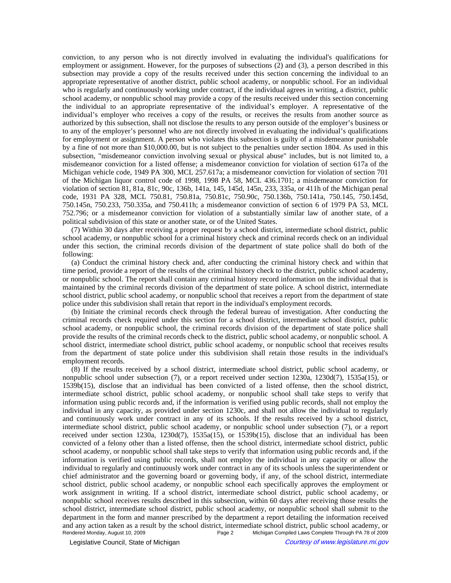conviction, to any person who is not directly involved in evaluating the individual's qualifications for employment or assignment. However, for the purposes of subsections (2) and (3), a person described in this subsection may provide a copy of the results received under this section concerning the individual to an appropriate representative of another district, public school academy, or nonpublic school. For an individual who is regularly and continuously working under contract, if the individual agrees in writing, a district, public school academy, or nonpublic school may provide a copy of the results received under this section concerning the individual to an appropriate representative of the individual's employer. A representative of the individual's employer who receives a copy of the results, or receives the results from another source as authorized by this subsection, shall not disclose the results to any person outside of the employer's business or to any of the employer's personnel who are not directly involved in evaluating the individual's qualifications for employment or assignment. A person who violates this subsection is guilty of a misdemeanor punishable by a fine of not more than \$10,000.00, but is not subject to the penalties under section 1804. As used in this subsection, "misdemeanor conviction involving sexual or physical abuse" includes, but is not limited to, a misdemeanor conviction for a listed offense; a misdemeanor conviction for violation of section 617a of the Michigan vehicle code, 1949 PA 300, MCL 257.617a; a misdemeanor conviction for violation of section 701 of the Michigan liquor control code of 1998, 1998 PA 58, MCL 436.1701; a misdemeanor conviction for violation of section 81, 81a, 81c, 90c, 136b, 141a, 145, 145d, 145n, 233, 335a, or 411h of the Michigan penal code, 1931 PA 328, MCL 750.81, 750.81a, 750.81c, 750.90c, 750.136b, 750.141a, 750.145, 750.145d, 750.145n, 750.233, 750.335a, and 750.411h; a misdemeanor conviction of section 6 of 1979 PA 53, MCL 752.796; or a misdemeanor conviction for violation of a substantially similar law of another state, of a political subdivision of this state or another state, or of the United States.

(7) Within 30 days after receiving a proper request by a school district, intermediate school district, public school academy, or nonpublic school for a criminal history check and criminal records check on an individual under this section, the criminal records division of the department of state police shall do both of the following:

(a) Conduct the criminal history check and, after conducting the criminal history check and within that time period, provide a report of the results of the criminal history check to the district, public school academy, or nonpublic school. The report shall contain any criminal history record information on the individual that is maintained by the criminal records division of the department of state police. A school district, intermediate school district, public school academy, or nonpublic school that receives a report from the department of state police under this subdivision shall retain that report in the individual's employment records.

(b) Initiate the criminal records check through the federal bureau of investigation. After conducting the criminal records check required under this section for a school district, intermediate school district, public school academy, or nonpublic school, the criminal records division of the department of state police shall provide the results of the criminal records check to the district, public school academy, or nonpublic school. A school district, intermediate school district, public school academy, or nonpublic school that receives results from the department of state police under this subdivision shall retain those results in the individual's employment records.

(8) If the results received by a school district, intermediate school district, public school academy, or nonpublic school under subsection (7), or a report received under section 1230a, 1230d(7), 1535a(15), or 1539b(15), disclose that an individual has been convicted of a listed offense, then the school district, intermediate school district, public school academy, or nonpublic school shall take steps to verify that information using public records and, if the information is verified using public records, shall not employ the individual in any capacity, as provided under section 1230c, and shall not allow the individual to regularly and continuously work under contract in any of its schools. If the results received by a school district, intermediate school district, public school academy, or nonpublic school under subsection (7), or a report received under section 1230a, 1230d(7), 1535a(15), or 1539b(15), disclose that an individual has been convicted of a felony other than a listed offense, then the school district, intermediate school district, public school academy, or nonpublic school shall take steps to verify that information using public records and, if the information is verified using public records, shall not employ the individual in any capacity or allow the individual to regularly and continuously work under contract in any of its schools unless the superintendent or chief administrator and the governing board or governing body, if any, of the school district, intermediate school district, public school academy, or nonpublic school each specifically approves the employment or work assignment in writing. If a school district, intermediate school district, public school academy, or nonpublic school receives results described in this subsection, within 60 days after receiving those results the school district, intermediate school district, public school academy, or nonpublic school shall submit to the department in the form and manner prescribed by the department a report detailing the information received and any action taken as a result by the school district, intermediate school district, public school academy, or<br>Page 2 Michigan Compiled Laws Complete Through PA 78 of 2009 Michigan Compiled Laws Complete Through PA 78 of 2009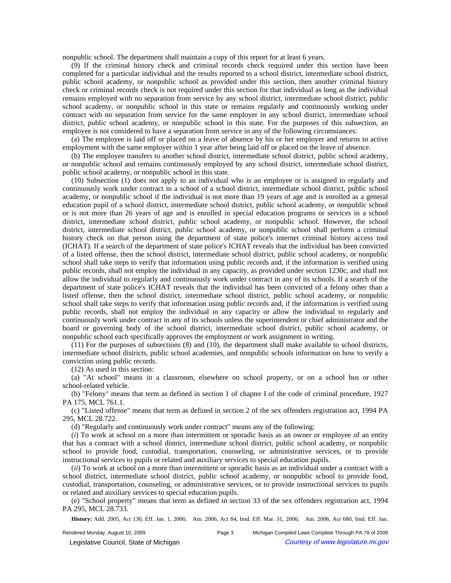nonpublic school. The department shall maintain a copy of this report for at least 6 years.

(9) If the criminal history check and criminal records check required under this section have been completed for a particular individual and the results reported to a school district, intermediate school district, public school academy, or nonpublic school as provided under this section, then another criminal history check or criminal records check is not required under this section for that individual as long as the individual remains employed with no separation from service by any school district, intermediate school district, public school academy, or nonpublic school in this state or remains regularly and continuously working under contract with no separation from service for the same employer in any school district, intermediate school district, public school academy, or nonpublic school in this state. For the purposes of this subsection, an employee is not considered to have a separation from service in any of the following circumstances:

(a) The employee is laid off or placed on a leave of absence by his or her employer and returns to active employment with the same employer within 1 year after being laid off or placed on the leave of absence.

(b) The employee transfers to another school district, intermediate school district, public school academy, or nonpublic school and remains continuously employed by any school district, intermediate school district, public school academy, or nonpublic school in this state.

(10) Subsection (1) does not apply to an individual who is an employee or is assigned to regularly and continuously work under contract in a school of a school district, intermediate school district, public school academy, or nonpublic school if the individual is not more than 19 years of age and is enrolled as a general education pupil of a school district, intermediate school district, public school academy, or nonpublic school or is not more than 26 years of age and is enrolled in special education programs or services in a school district, intermediate school district, public school academy, or nonpublic school. However, the school district, intermediate school district, public school academy, or nonpublic school shall perform a criminal history check on that person using the department of state police's internet criminal history access tool (ICHAT). If a search of the department of state police's ICHAT reveals that the individual has been convicted of a listed offense, then the school district, intermediate school district, public school academy, or nonpublic school shall take steps to verify that information using public records and, if the information is verified using public records, shall not employ the individual in any capacity, as provided under section 1230c, and shall not allow the individual to regularly and continuously work under contract in any of its schools. If a search of the department of state police's ICHAT reveals that the individual has been convicted of a felony other than a listed offense, then the school district, intermediate school district, public school academy, or nonpublic school shall take steps to verify that information using public records and, if the information is verified using public records, shall not employ the individual in any capacity or allow the individual to regularly and continuously work under contract in any of its schools unless the superintendent or chief administrator and the board or governing body of the school district, intermediate school district, public school academy, or nonpublic school each specifically approves the employment or work assignment in writing.

(11) For the purposes of subsections (8) and (10), the department shall make available to school districts, intermediate school districts, public school academies, and nonpublic schools information on how to verify a conviction using public records.

(12) As used in this section:

(a) "At school" means in a classroom, elsewhere on school property, or on a school bus or other school-related vehicle.

(b) "Felony" means that term as defined in section 1 of chapter I of the code of criminal procedure, 1927 PA 175, MCL 761.1.

(c) "Listed offense" means that term as defined in section 2 of the sex offenders registration act, 1994 PA 295, MCL 28.722.

(d) "Regularly and continuously work under contract" means any of the following:

(*i*) To work at school on a more than intermittent or sporadic basis as an owner or employee of an entity that has a contract with a school district, intermediate school district, public school academy, or nonpublic school to provide food, custodial, transportation, counseling, or administrative services, or to provide instructional services to pupils or related and auxiliary services to special education pupils.

(*ii*) To work at school on a more than intermittent or sporadic basis as an individual under a contract with a school district, intermediate school district, public school academy, or nonpublic school to provide food, custodial, transportation, counseling, or administrative services, or to provide instructional services to pupils or related and auxiliary services to special education pupils.

(e) "School property" means that term as defined in section 33 of the sex offenders registration act, 1994 PA 295, MCL 28.733.

History: Add. 2005, Act 130, Eff. Jan. 1, 2006;—Am. 2006, Act 84, Imd. Eff. Mar. 31, 2006;—Am. 2006, Act 680, Imd. Eff. Jan.

Rendered Monday, August 10, 2009 **Page 3** Michigan Compiled Laws Complete Through PA 78 of 2009